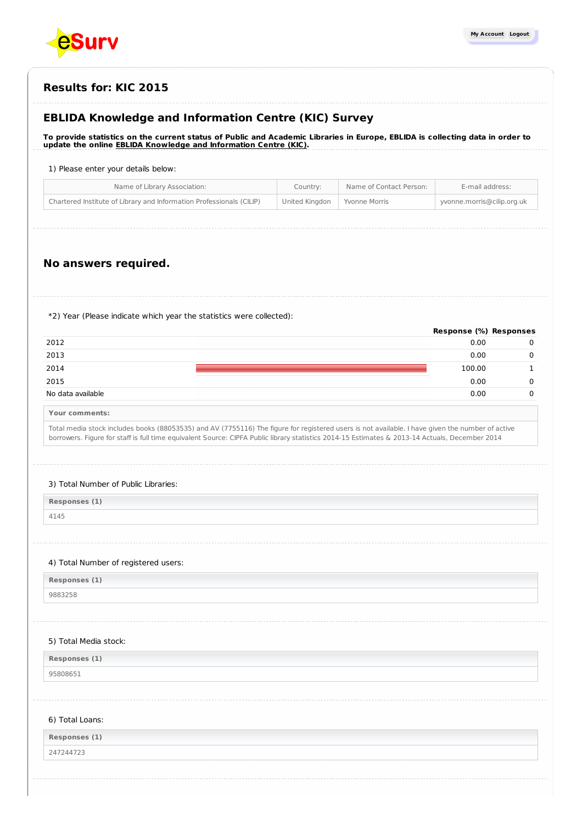

# **Results for: KIC 2015**

# **EBLIDA Knowledge and Information Centre (KIC) Survey**

To provide statistics on the current status of Public and Academic Libraries in Europe, EBLIDA is collecting data in order to **update the online EBLIDA Knowledge and [Information](http://www.eblida.org/activities/kic/) Centre (KIC).**

#### 1) Please enter your details below:

| Name of Library Association:                                         | Country:                       | Name of Contact Person: | E-mail address:            |
|----------------------------------------------------------------------|--------------------------------|-------------------------|----------------------------|
| Chartered Institute of Library and Information Professionals (CILIP) | United Kingdon   Yvonne Morris |                         | yvonne.morris@cilip.org.uk |
|                                                                      |                                |                         |                            |

# **No answers required.**

\*2) Year (Please indicate which year the statistics were collected):

|                   | Response (%) Responses |  |
|-------------------|------------------------|--|
| 2012              | 0.00                   |  |
| 2013              | 0.00                   |  |
| 2014              | 100.00                 |  |
| 2015              | 0.00                   |  |
| No data available | 0.00                   |  |
|                   |                        |  |

**Your comments:**

Total media stock includes books (88053535) and AV (7755116) The figure for registered users is not available. I have given the number of active borrowers. Figure for staff is full time equivalent Source: CIPFA Public library statistics 2014-15 Estimates & 2013-14 Actuals, December 2014

#### 3) Total Number of Public Libraries:

| Responses (1) |  |
|---------------|--|
| 4145          |  |

#### 4) Total Number of registered users:

**Responses (1)**

9883258

#### 5) Total Media stock:

**Responses (1)**

95808651

#### 6) Total Loans:

| Responses (1)     |  |
|-------------------|--|
| 247244723<br>____ |  |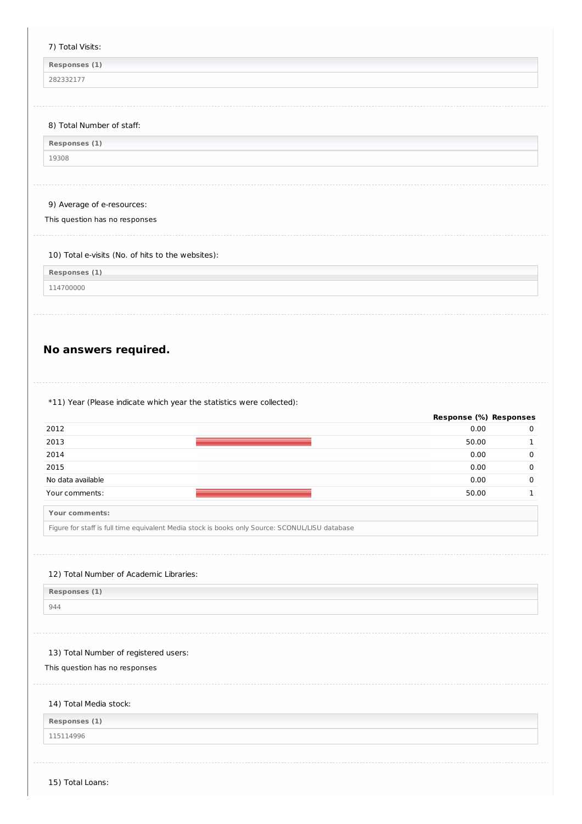#### 7) Total Visits:

**Responses (1)**

282332177

### 8) Total Number of staff:

19308

# 9) Average of e-resources:

This question has no responses

### 10) Total e-visits (No. of hits to the websites):

**Responses (1)**

114700000

# **No answers required.**

\*11) Year (Please indicate which year the statistics were collected):

|                   | Response (%) Responses |  |
|-------------------|------------------------|--|
| 2012              | 0.00                   |  |
| 2013              | 50.00                  |  |
| 2014              | 0.00                   |  |
| 2015              | 0.00                   |  |
| No data available | 0.00                   |  |
| Your comments:    | 50.00                  |  |

**Your comments:**

Figure for staff is full time equivalent Media stock is books only Source: SCONUL/LISU database

### 12) Total Number of Academic Libraries:

**Responses (1)**

## 944

### 13) Total Number of registered users:

This question has no responses

# 14) Total Media stock:

**Responses (1)**

### 115114996

15) Total Loans: